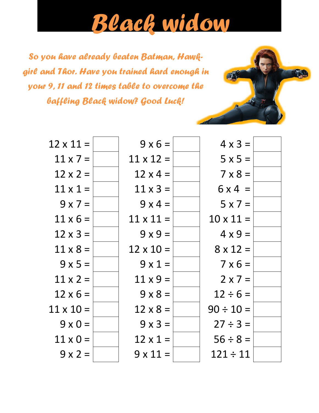## *Black widow*

W.

*So you have already beaten Batman, Hawkgirl and Thor. Have you trained hard enough in your 9, 11 and 12 times table to overcome the baffling Black widow? Good Luck!*

| $12 \times 11 =$ | $9 \times 6 =$   | $4 \times 3 =$   |  |
|------------------|------------------|------------------|--|
| $11 \times 7 =$  | $11 \times 12 =$ | $5x5=$           |  |
| $12 \times 2 =$  | $12 \times 4 =$  | $7 \times 8 =$   |  |
| $11 \times 1 =$  | $11 \times 3 =$  | $6x4 =$          |  |
| $9x7=$           | $9x4=$           | $5 \times 7 =$   |  |
| $11 \times 6 =$  | $11 \times 11 =$ | $10 \times 11 =$ |  |
| $12 \times 3 =$  | $9x9=$           | $4 \times 9 =$   |  |
| $11 \times 8 =$  | $12 \times 10 =$ | $8 \times 12 =$  |  |
| $9x5=$           | $9x1=$           | $7 \times 6 =$   |  |
| $11 \times 2 =$  | $11 \times 9 =$  | $2 \times 7 =$   |  |
| $12 \times 6 =$  | $9 \times 8 =$   | $12 \div 6 =$    |  |
| $11 \times 10 =$ | $12 \times 8 =$  | $90 \div 10 =$   |  |
| $9 \times 0 =$   | $9 \times 3 =$   | $27 \div 3 =$    |  |
| $11 \times 0 =$  | $12 \times 1 =$  | $56 \div 8 =$    |  |
| $9 \times 2 =$   | $9 \times 11 =$  | $121 \div 11$    |  |